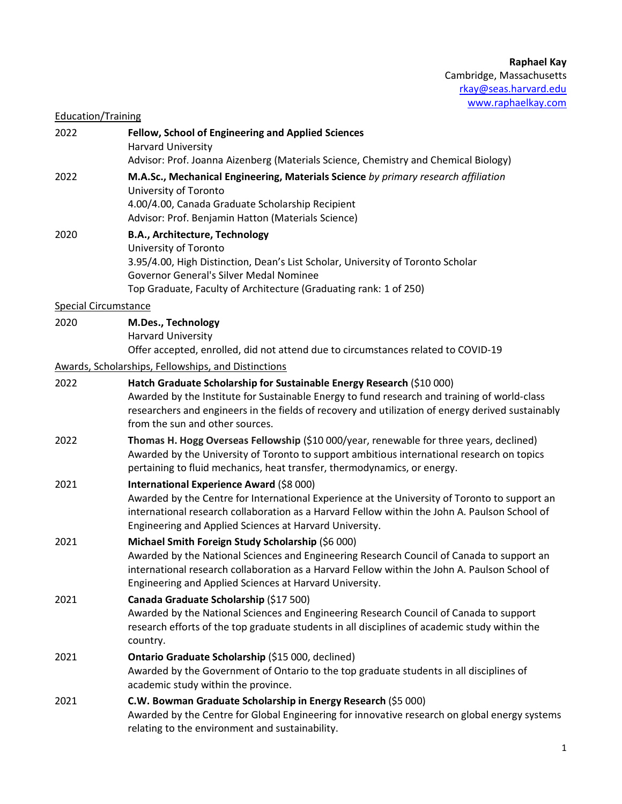## Education/Training

| 2022 | Fellow, School of Engineering and Applied Sciences<br>Harvard University                                                                                                                                                                                                                                      |
|------|---------------------------------------------------------------------------------------------------------------------------------------------------------------------------------------------------------------------------------------------------------------------------------------------------------------|
| 2022 | Advisor: Prof. Joanna Aizenberg (Materials Science, Chemistry and Chemical Biology)<br>M.A.Sc., Mechanical Engineering, Materials Science by primary research affiliation<br>University of Toronto<br>4.00/4.00, Canada Graduate Scholarship Recipient<br>Advisor: Prof. Benjamin Hatton (Materials Science)  |
| 2020 | B.A., Architecture, Technology<br>University of Toronto<br>3.95/4.00, High Distinction, Dean's List Scholar, University of Toronto Scholar<br>Governor General's Silver Medal Nominee<br>Top Graduate, Faculty of Architecture (Graduating rank: 1 of 250)                                                    |
|      | <b>Special Circumstance</b>                                                                                                                                                                                                                                                                                   |
| 2020 | M.Des., Technology<br>Harvard University<br>Offer accepted, enrolled, did not attend due to circumstances related to COVID-19                                                                                                                                                                                 |
|      | Awards, Scholarships, Fellowships, and Distinctions                                                                                                                                                                                                                                                           |
| 2022 | Hatch Graduate Scholarship for Sustainable Energy Research (\$10 000)<br>Awarded by the Institute for Sustainable Energy to fund research and training of world-class<br>researchers and engineers in the fields of recovery and utilization of energy derived sustainably<br>from the sun and other sources. |
| 2022 | Thomas H. Hogg Overseas Fellowship (\$10 000/year, renewable for three years, declined)<br>Awarded by the University of Toronto to support ambitious international research on topics<br>pertaining to fluid mechanics, heat transfer, thermodynamics, or energy.                                             |
| 2021 | International Experience Award (\$8 000)<br>Awarded by the Centre for International Experience at the University of Toronto to support an<br>international research collaboration as a Harvard Fellow within the John A. Paulson School of<br>Engineering and Applied Sciences at Harvard University.         |
| 2021 | Michael Smith Foreign Study Scholarship (\$6 000)<br>Awarded by the National Sciences and Engineering Research Council of Canada to support an<br>international research collaboration as a Harvard Fellow within the John A. Paulson School of<br>Engineering and Applied Sciences at Harvard University.    |
| 2021 | Canada Graduate Scholarship (\$17 500)<br>Awarded by the National Sciences and Engineering Research Council of Canada to support<br>research efforts of the top graduate students in all disciplines of academic study within the<br>country.                                                                 |
| 2021 | Ontario Graduate Scholarship (\$15 000, declined)<br>Awarded by the Government of Ontario to the top graduate students in all disciplines of<br>academic study within the province.                                                                                                                           |
| 2021 | C.W. Bowman Graduate Scholarship in Energy Research (\$5 000)<br>Awarded by the Centre for Global Engineering for innovative research on global energy systems<br>relating to the environment and sustainability.                                                                                             |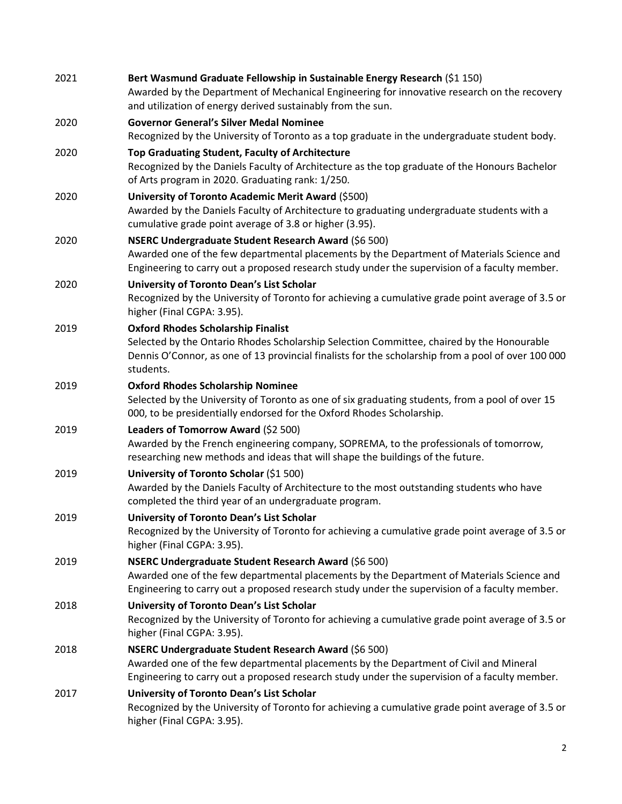| 2021 | Bert Wasmund Graduate Fellowship in Sustainable Energy Research (\$1 150)<br>Awarded by the Department of Mechanical Engineering for innovative research on the recovery<br>and utilization of energy derived sustainably from the sun.                   |
|------|-----------------------------------------------------------------------------------------------------------------------------------------------------------------------------------------------------------------------------------------------------------|
| 2020 | <b>Governor General's Silver Medal Nominee</b><br>Recognized by the University of Toronto as a top graduate in the undergraduate student body.                                                                                                            |
| 2020 | Top Graduating Student, Faculty of Architecture<br>Recognized by the Daniels Faculty of Architecture as the top graduate of the Honours Bachelor<br>of Arts program in 2020. Graduating rank: 1/250.                                                      |
| 2020 | University of Toronto Academic Merit Award (\$500)<br>Awarded by the Daniels Faculty of Architecture to graduating undergraduate students with a<br>cumulative grade point average of 3.8 or higher (3.95).                                               |
| 2020 | NSERC Undergraduate Student Research Award (\$6 500)<br>Awarded one of the few departmental placements by the Department of Materials Science and<br>Engineering to carry out a proposed research study under the supervision of a faculty member.        |
| 2020 | University of Toronto Dean's List Scholar<br>Recognized by the University of Toronto for achieving a cumulative grade point average of 3.5 or<br>higher (Final CGPA: 3.95).                                                                               |
| 2019 | <b>Oxford Rhodes Scholarship Finalist</b><br>Selected by the Ontario Rhodes Scholarship Selection Committee, chaired by the Honourable<br>Dennis O'Connor, as one of 13 provincial finalists for the scholarship from a pool of over 100 000<br>students. |
| 2019 | <b>Oxford Rhodes Scholarship Nominee</b><br>Selected by the University of Toronto as one of six graduating students, from a pool of over 15<br>000, to be presidentially endorsed for the Oxford Rhodes Scholarship.                                      |
| 2019 | Leaders of Tomorrow Award (\$2 500)<br>Awarded by the French engineering company, SOPREMA, to the professionals of tomorrow,<br>researching new methods and ideas that will shape the buildings of the future.                                            |
| 2019 | University of Toronto Scholar (\$1 500)<br>Awarded by the Daniels Faculty of Architecture to the most outstanding students who have<br>completed the third year of an undergraduate program.                                                              |
| 2019 | University of Toronto Dean's List Scholar<br>Recognized by the University of Toronto for achieving a cumulative grade point average of 3.5 or<br>higher (Final CGPA: 3.95).                                                                               |
| 2019 | NSERC Undergraduate Student Research Award (\$6 500)<br>Awarded one of the few departmental placements by the Department of Materials Science and<br>Engineering to carry out a proposed research study under the supervision of a faculty member.        |
| 2018 | University of Toronto Dean's List Scholar<br>Recognized by the University of Toronto for achieving a cumulative grade point average of 3.5 or<br>higher (Final CGPA: 3.95).                                                                               |
| 2018 | <b>NSERC Undergraduate Student Research Award (\$6 500)</b><br>Awarded one of the few departmental placements by the Department of Civil and Mineral<br>Engineering to carry out a proposed research study under the supervision of a faculty member.     |
| 2017 | University of Toronto Dean's List Scholar<br>Recognized by the University of Toronto for achieving a cumulative grade point average of 3.5 or<br>higher (Final CGPA: 3.95).                                                                               |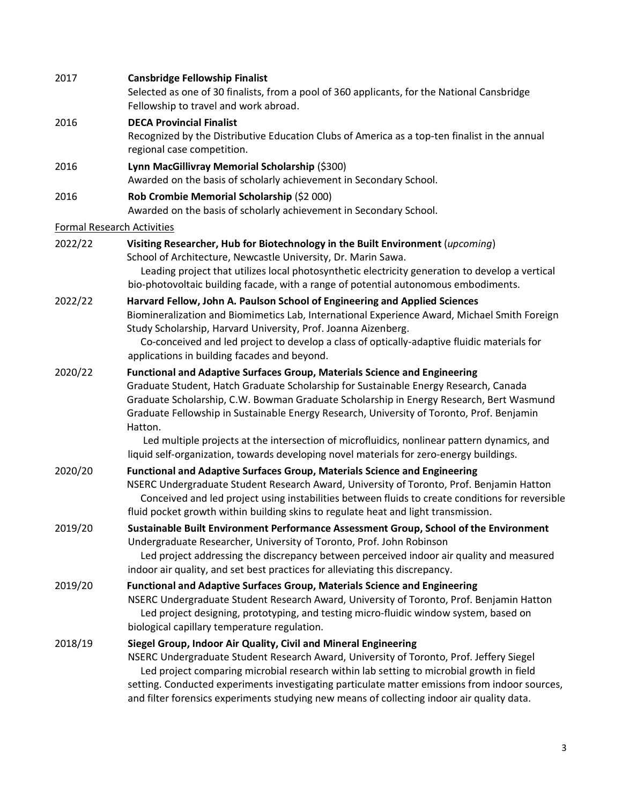| 2017    | <b>Cansbridge Fellowship Finalist</b><br>Selected as one of 30 finalists, from a pool of 360 applicants, for the National Cansbridge<br>Fellowship to travel and work abroad.                                                                                                                                                                                                                                                                                                                                                                                         |
|---------|-----------------------------------------------------------------------------------------------------------------------------------------------------------------------------------------------------------------------------------------------------------------------------------------------------------------------------------------------------------------------------------------------------------------------------------------------------------------------------------------------------------------------------------------------------------------------|
| 2016    | <b>DECA Provincial Finalist</b><br>Recognized by the Distributive Education Clubs of America as a top-ten finalist in the annual<br>regional case competition.                                                                                                                                                                                                                                                                                                                                                                                                        |
| 2016    | Lynn MacGillivray Memorial Scholarship (\$300)<br>Awarded on the basis of scholarly achievement in Secondary School.                                                                                                                                                                                                                                                                                                                                                                                                                                                  |
| 2016    | Rob Crombie Memorial Scholarship (\$2 000)<br>Awarded on the basis of scholarly achievement in Secondary School.                                                                                                                                                                                                                                                                                                                                                                                                                                                      |
|         | <b>Formal Research Activities</b>                                                                                                                                                                                                                                                                                                                                                                                                                                                                                                                                     |
| 2022/22 | Visiting Researcher, Hub for Biotechnology in the Built Environment (upcoming)<br>School of Architecture, Newcastle University, Dr. Marin Sawa.<br>Leading project that utilizes local photosynthetic electricity generation to develop a vertical<br>bio-photovoltaic building facade, with a range of potential autonomous embodiments.                                                                                                                                                                                                                             |
| 2022/22 | Harvard Fellow, John A. Paulson School of Engineering and Applied Sciences<br>Biomineralization and Biomimetics Lab, International Experience Award, Michael Smith Foreign<br>Study Scholarship, Harvard University, Prof. Joanna Aizenberg.<br>Co-conceived and led project to develop a class of optically-adaptive fluidic materials for<br>applications in building facades and beyond.                                                                                                                                                                           |
| 2020/22 | <b>Functional and Adaptive Surfaces Group, Materials Science and Engineering</b><br>Graduate Student, Hatch Graduate Scholarship for Sustainable Energy Research, Canada<br>Graduate Scholarship, C.W. Bowman Graduate Scholarship in Energy Research, Bert Wasmund<br>Graduate Fellowship in Sustainable Energy Research, University of Toronto, Prof. Benjamin<br>Hatton.<br>Led multiple projects at the intersection of microfluidics, nonlinear pattern dynamics, and<br>liquid self-organization, towards developing novel materials for zero-energy buildings. |
| 2020/20 | <b>Functional and Adaptive Surfaces Group, Materials Science and Engineering</b><br>NSERC Undergraduate Student Research Award, University of Toronto, Prof. Benjamin Hatton<br>Conceived and led project using instabilities between fluids to create conditions for reversible<br>fluid pocket growth within building skins to regulate heat and light transmission.                                                                                                                                                                                                |
| 2019/20 | Sustainable Built Environment Performance Assessment Group, School of the Environment<br>Undergraduate Researcher, University of Toronto, Prof. John Robinson<br>Led project addressing the discrepancy between perceived indoor air quality and measured<br>indoor air quality, and set best practices for alleviating this discrepancy.                                                                                                                                                                                                                             |
| 2019/20 | <b>Functional and Adaptive Surfaces Group, Materials Science and Engineering</b><br>NSERC Undergraduate Student Research Award, University of Toronto, Prof. Benjamin Hatton<br>Led project designing, prototyping, and testing micro-fluidic window system, based on<br>biological capillary temperature regulation.                                                                                                                                                                                                                                                 |
| 2018/19 | Siegel Group, Indoor Air Quality, Civil and Mineral Engineering<br>NSERC Undergraduate Student Research Award, University of Toronto, Prof. Jeffery Siegel<br>Led project comparing microbial research within lab setting to microbial growth in field<br>setting. Conducted experiments investigating particulate matter emissions from indoor sources,<br>and filter forensics experiments studying new means of collecting indoor air quality data.                                                                                                                |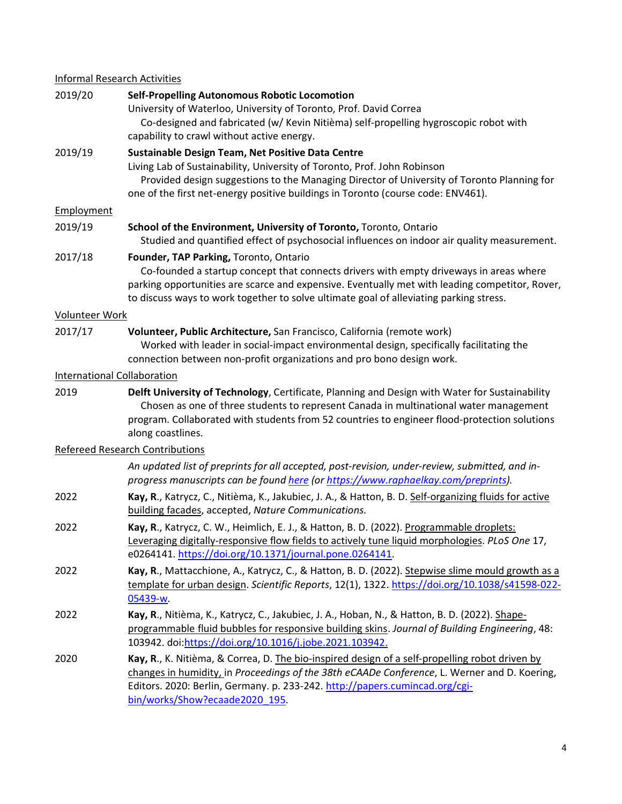# Informal Research Activities

| 2019/20               | <b>Self-Propelling Autonomous Robotic Locomotion</b><br>University of Waterloo, University of Toronto, Prof. David Correa<br>Co-designed and fabricated (w/ Kevin Nitièma) self-propelling hygroscopic robot with<br>capability to crawl without active energy.                                                              |
|-----------------------|------------------------------------------------------------------------------------------------------------------------------------------------------------------------------------------------------------------------------------------------------------------------------------------------------------------------------|
| 2019/19               | Sustainable Design Team, Net Positive Data Centre<br>Living Lab of Sustainability, University of Toronto, Prof. John Robinson<br>Provided design suggestions to the Managing Director of University of Toronto Planning for<br>one of the first net-energy positive buildings in Toronto (course code: ENV461).              |
| <b>Employment</b>     |                                                                                                                                                                                                                                                                                                                              |
| 2019/19               | School of the Environment, University of Toronto, Toronto, Ontario<br>Studied and quantified effect of psychosocial influences on indoor air quality measurement.                                                                                                                                                            |
| 2017/18               | Founder, TAP Parking, Toronto, Ontario<br>Co-founded a startup concept that connects drivers with empty driveways in areas where<br>parking opportunities are scarce and expensive. Eventually met with leading competitor, Rover,<br>to discuss ways to work together to solve ultimate goal of alleviating parking stress. |
| <b>Volunteer Work</b> |                                                                                                                                                                                                                                                                                                                              |
| 2017/17               | Volunteer, Public Architecture, San Francisco, California (remote work)<br>Worked with leader in social-impact environmental design, specifically facilitating the<br>connection between non-profit organizations and pro bono design work.                                                                                  |
|                       | <b>International Collaboration</b>                                                                                                                                                                                                                                                                                           |
| 2019                  | Delft University of Technology, Certificate, Planning and Design with Water for Sustainability<br>Chosen as one of three students to represent Canada in multinational water management<br>program. Collaborated with students from 52 countries to engineer flood-protection solutions<br>along coastlines.                 |
|                       | <b>Refereed Research Contributions</b>                                                                                                                                                                                                                                                                                       |
|                       | An updated list of preprints for all accepted, post-revision, under-review, submitted, and in-<br>progress manuscripts can be found here (or https://www.raphaelkay.com/preprints).                                                                                                                                          |
| 2022                  | Kay, R., Katrycz, C., Nitièma, K., Jakubiec, J. A., & Hatton, B. D. Self-organizing fluids for active<br>building facades, accepted, Nature Communications.                                                                                                                                                                  |
| 2022                  | Kay, R., Katrycz, C. W., Heimlich, E. J., & Hatton, B. D. (2022). Programmable droplets:<br>Leveraging digitally-responsive flow fields to actively tune liquid morphologies. PLoS One 17,<br>e0264141. https://doi.org/10.1371/journal.pone.0264141.                                                                        |
| 2022                  | Kay, R., Mattacchione, A., Katrycz, C., & Hatton, B. D. (2022). Stepwise slime mould growth as a<br>template for urban design. Scientific Reports, 12(1), 1322. https://doi.org/10.1038/s41598-022-<br>05439-w.                                                                                                              |
| 2022                  | Kay, R., Nitièma, K., Katrycz, C., Jakubiec, J. A., Hoban, N., & Hatton, B. D. (2022). Shape-<br>programmable fluid bubbles for responsive building skins. Journal of Building Engineering, 48:<br>103942. doi: https://doi.org/10.1016/j.jobe.2021.103942.                                                                  |
| 2020                  | Kay, R., K. Nitièma, & Correa, D. The bio-inspired design of a self-propelling robot driven by<br>changes in humidity, in Proceedings of the 38th eCAADe Conference, L. Werner and D. Koering,<br>Editors. 2020: Berlin, Germany. p. 233-242. http://papers.cumincad.org/cgi-<br>bin/works/Show?ecaade2020 195.              |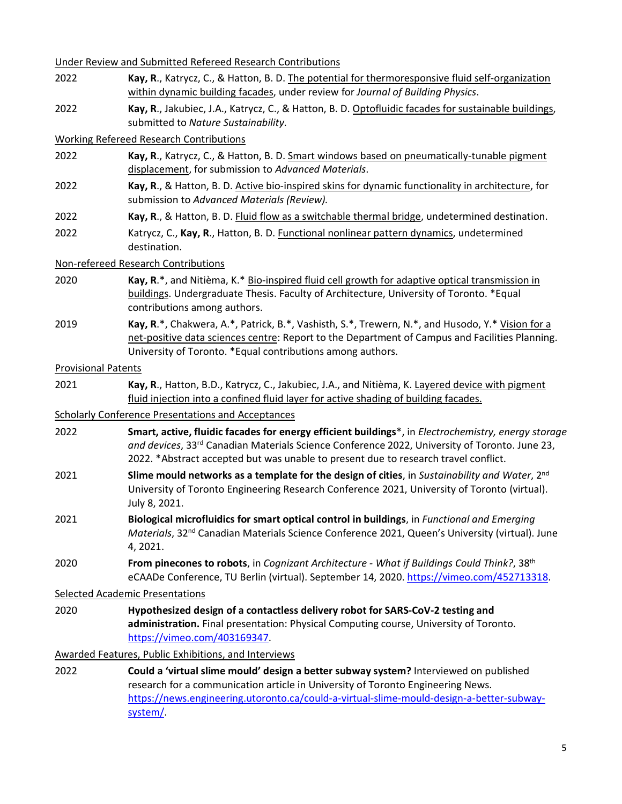Under Review and Submitted Refereed Research Contributions

- 2022 **Kay, R**., Katrycz, C., & Hatton, B. D. The potential for thermoresponsive fluid self-organization within dynamic building facades, under review for *Journal of Building Physics*.
- 2022 **Kay, R**., Jakubiec, J.A., Katrycz, C., & Hatton, B. D. Optofluidic facades for sustainable buildings, submitted to *Nature Sustainability.*

## Working Refereed Research Contributions

- 2022 **Kay, R**., Katrycz, C., & Hatton, B. D. Smart windows based on pneumatically-tunable pigment displacement, for submission to *Advanced Materials*.
- 2022 **Kay, R**., & Hatton, B. D. Active bio-inspired skins for dynamic functionality in architecture, for submission to *Advanced Materials (Review).*
- 2022 **Kay, R**., & Hatton, B. D. Fluid flow as a switchable thermal bridge, undetermined destination.
- 2022 Katrycz, C., **Kay, R**., Hatton, B. D. Functional nonlinear pattern dynamics, undetermined destination.

### Non-refereed Research Contributions

- 2020 **Kay, R**.\*, and Nitièma, K.\* Bio-inspired fluid cell growth for adaptive optical transmission in buildings. Undergraduate Thesis. Faculty of Architecture, University of Toronto. \*Equal contributions among authors.
- 2019 **Kay, R**.\*, Chakwera, A.\*, Patrick, B.\*, Vashisth, S.\*, Trewern, N.\*, and Husodo, Y.\* Vision for a net-positive data sciences centre: Report to the Department of Campus and Facilities Planning. University of Toronto. \*Equal contributions among authors.

#### Provisional Patents

2021 **Kay, R**., Hatton, B.D., Katrycz, C., Jakubiec, J.A., and Nitièma, K. Layered device with pigment fluid injection into a confined fluid layer for active shading of building facades.

## Scholarly Conference Presentations and Acceptances

- 2022 **Smart, active, fluidic facades for energy efficient buildings**\*, in *Electrochemistry, energy storage and devices*, 33rd Canadian Materials Science Conference 2022, University of Toronto. June 23, 2022. \*Abstract accepted but was unable to present due to research travel conflict.
- 2021 **Slime mould networks as a template for the design of cities**, in *Sustainability and Water*, 2nd University of Toronto Engineering Research Conference 2021, University of Toronto (virtual). July 8, 2021.
- 2021 **Biological microfluidics for smart optical control in buildings**, in *Functional and Emerging Materials*, 32nd Canadian Materials Science Conference 2021, Queen's University (virtual). June 4, 2021.
- 2020 **From pinecones to robots**, in *Cognizant Architecture What if Buildings Could Think?*, 38th eCAADe Conference, TU Berlin (virtual). September 14, 2020. [https://vimeo.com/452713318.](https://vimeo.com/452713318)

### Selected Academic Presentations

2020 **Hypothesized design of a contactless delivery robot for SARS-CoV-2 testing and administration.** Final presentation: Physical Computing course, University of Toronto. [https://vimeo.com/403169347.](https://vimeo.com/403169347)

Awarded Features, Public Exhibitions, and Interviews

2022 **Could a 'virtual slime mould' design a better subway system?** Interviewed on published research for a communication article in University of Toronto Engineering News. [https://news.engineering.utoronto.ca/could-a-virtual-slime-mould-design-a-better-subway](https://news.engineering.utoronto.ca/could-a-virtual-slime-mould-design-a-better-subway-system/)[system/.](https://news.engineering.utoronto.ca/could-a-virtual-slime-mould-design-a-better-subway-system/)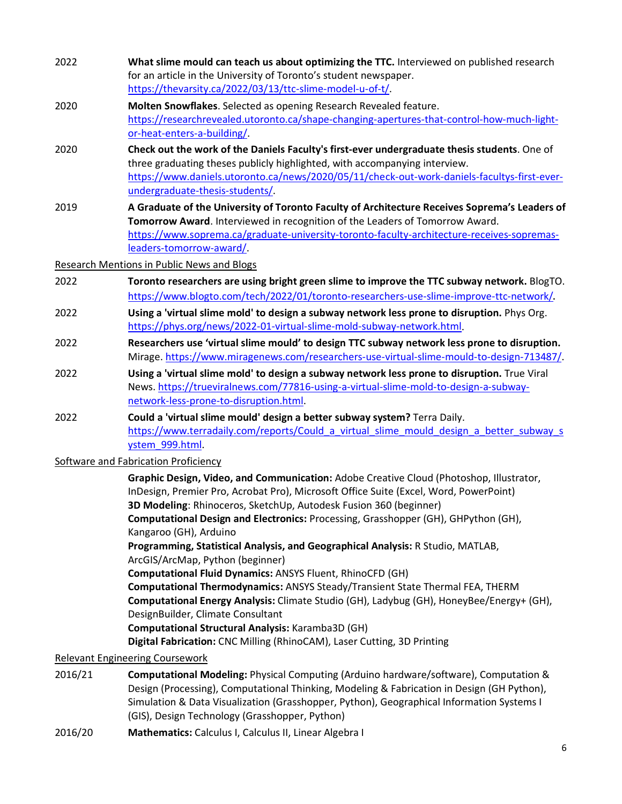| 2022 | What slime mould can teach us about optimizing the TTC. Interviewed on published research<br>for an article in the University of Toronto's student newspaper.<br>https://thevarsity.ca/2022/03/13/ttc-slime-model-u-of-t/.                                                                                  |
|------|-------------------------------------------------------------------------------------------------------------------------------------------------------------------------------------------------------------------------------------------------------------------------------------------------------------|
| 2020 | Molten Snowflakes. Selected as opening Research Revealed feature.<br>https://researchrevealed.utoronto.ca/shape-changing-apertures-that-control-how-much-light-<br>or-heat-enters-a-building/.                                                                                                              |
| 2020 | Check out the work of the Daniels Faculty's first-ever undergraduate thesis students. One of<br>three graduating theses publicly highlighted, with accompanying interview.<br>https://www.daniels.utoronto.ca/news/2020/05/11/check-out-work-daniels-facultys-first-ever-<br>undergraduate-thesis-students/ |
| 2019 | A Graduate of the University of Toronto Faculty of Architecture Receives Soprema's Leaders of<br>Tomorrow Award. Interviewed in recognition of the Leaders of Tomorrow Award.<br>https://www.soprema.ca/graduate-university-toronto-faculty-architecture-receives-sopremas-<br>leaders-tomorrow-award/      |
|      | <b>Research Mentions in Public News and Blogs</b>                                                                                                                                                                                                                                                           |
| 2022 | Toronto researchers are using bright green slime to improve the TTC subway network. BlogTO.<br>https://www.blogto.com/tech/2022/01/toronto-researchers-use-slime-improve-ttc-network/.                                                                                                                      |
| 2022 | Using a 'virtual slime mold' to design a subway network less prone to disruption. Phys Org.<br>https://phys.org/news/2022-01-virtual-slime-mold-subway-network.html.                                                                                                                                        |
| 2022 | Researchers use 'virtual slime mould' to design TTC subway network less prone to disruption.<br>Mirage. https://www.miragenews.com/researchers-use-virtual-slime-mould-to-design-713487/.                                                                                                                   |
| 2022 | Using a 'virtual slime mold' to design a subway network less prone to disruption. True Viral                                                                                                                                                                                                                |

- News. [https://trueviralnews.com/77816-using-a-virtual-slime-mold-to-design-a-subway](https://trueviralnews.com/77816-using-a-virtual-slime-mold-to-design-a-subway-network-less-prone-to-disruption.html)[network-less-prone-to-disruption.html.](https://trueviralnews.com/77816-using-a-virtual-slime-mold-to-design-a-subway-network-less-prone-to-disruption.html)
- 2022 **Could a 'virtual slime mould' design a better subway system?** Terra Daily. https://www.terradaily.com/reports/Could a virtual slime mould design a better subway s [ystem\\_999.html.](https://www.terradaily.com/reports/Could_a_virtual_slime_mould_design_a_better_subway_system_999.html)

### Software and Fabrication Proficiency

**Graphic Design, Video, and Communication:** Adobe Creative Cloud (Photoshop, Illustrator, InDesign, Premier Pro, Acrobat Pro), Microsoft Office Suite (Excel, Word, PowerPoint) **3D Modeling**: Rhinoceros, SketchUp, Autodesk Fusion 360 (beginner) **Computational Design and Electronics:** Processing, Grasshopper (GH), GHPython (GH), Kangaroo (GH), Arduino **Programming, Statistical Analysis, and Geographical Analysis:** R Studio, MATLAB, ArcGIS/ArcMap, Python (beginner) **Computational Fluid Dynamics:** ANSYS Fluent, RhinoCFD (GH) **Computational Thermodynamics:** ANSYS Steady/Transient State Thermal FEA, THERM **Computational Energy Analysis:** Climate Studio (GH), Ladybug (GH), HoneyBee/Energy+ (GH), DesignBuilder, Climate Consultant **Computational Structural Analysis:** Karamba3D (GH)

**Digital Fabrication:** CNC Milling (RhinoCAM), Laser Cutting, 3D Printing

#### Relevant Engineering Coursework

- 2016/21 **Computational Modeling:** Physical Computing (Arduino hardware/software), Computation & Design (Processing), Computational Thinking, Modeling & Fabrication in Design (GH Python), Simulation & Data Visualization (Grasshopper, Python), Geographical Information Systems I (GIS), Design Technology (Grasshopper, Python)
- 2016/20 **Mathematics:** Calculus I, Calculus II, Linear Algebra I